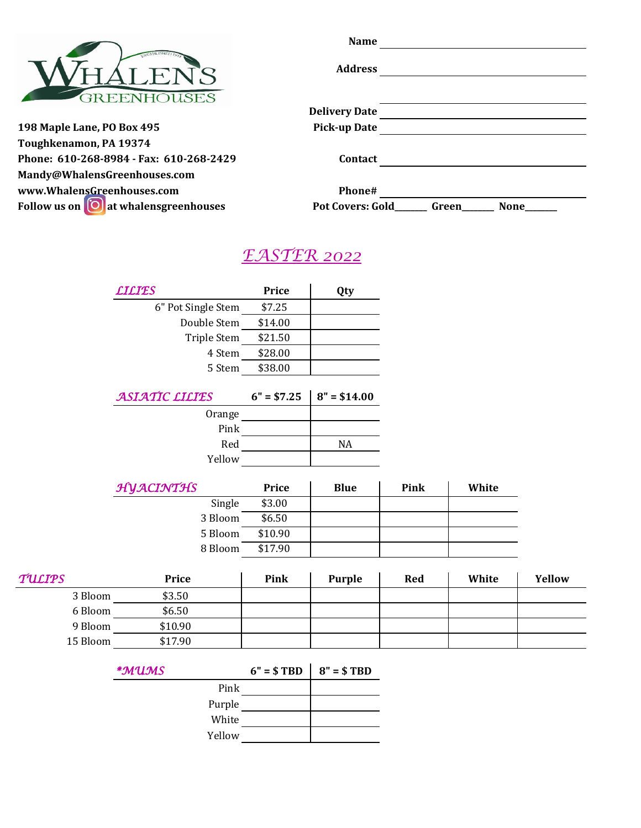|                                         | <b>Name</b>          |  |
|-----------------------------------------|----------------------|--|
|                                         | <b>Address</b>       |  |
|                                         |                      |  |
|                                         | <b>Delivery Date</b> |  |
| 198 Maple Lane, PO Box 495              | <b>Pick-up Date</b>  |  |
| Toughkenamon, PA 19374                  |                      |  |
| Phone: 610-268-8984 - Fax: 610-268-2429 | Contact              |  |

**[Mandy@WhalensGreenhouses.com](mailto:Mandy@WhalensGreenhouses.com)  [www.WhalensGreenhouses.com](http://www.whalensgreenhouses.com/) Phone#**

| www.WhalensGreenhouses.com                          | Phone#                  |       |      |
|-----------------------------------------------------|-------------------------|-------|------|
| Follow us on $\left[0\right]$ at whalensgreenhouses | <b>Pot Covers: Gold</b> | Green | None |

# *EASTER 2022*

|               | <b>LILIES</b>      | Price        | Qty           |            |       |        |
|---------------|--------------------|--------------|---------------|------------|-------|--------|
|               | 6" Pot Single Stem | \$7.25       |               |            |       |        |
|               | Double Stem        | \$14.00      |               |            |       |        |
|               | Triple Stem        | \$21.50      |               |            |       |        |
|               | 4 Stem             | \$28.00      |               |            |       |        |
|               | 5 Stem             | \$38.00      |               |            |       |        |
|               | ASIATIC LILIES     | $6" = $7.25$ | $8" = $14.00$ |            |       |        |
|               | Orange             |              |               |            |       |        |
|               | Pink               |              |               |            |       |        |
|               | Red                |              | NA            |            |       |        |
|               | Yellow             |              |               |            |       |        |
|               | HYACINTHS          | Price        | <b>Blue</b>   | Pink       | White |        |
|               | Single             | \$3.00       |               |            |       |        |
|               | 3 Bloom            | \$6.50       |               |            |       |        |
|               | 5 Bloom            | \$10.90      |               |            |       |        |
|               | 8 Bloom            | \$17.90      |               |            |       |        |
| <b>TULIPS</b> | Price              | Pink         | <b>Purple</b> | <b>Red</b> | White | Yellow |
| 3 Bloom       | \$3.50             |              |               |            |       |        |
| 6 Bloom       | \$6.50             |              |               |            |       |        |
| 9 Bloom       | \$10.90            |              |               |            |       |        |
| 15 Bloom      | \$17.90            |              |               |            |       |        |
|               | *MUMS              | $6" = $TBD$  | $8" = $TBD$   |            |       |        |
|               | Pink               |              |               |            |       |        |
|               | Purple             |              |               |            |       |        |

White

Yellow